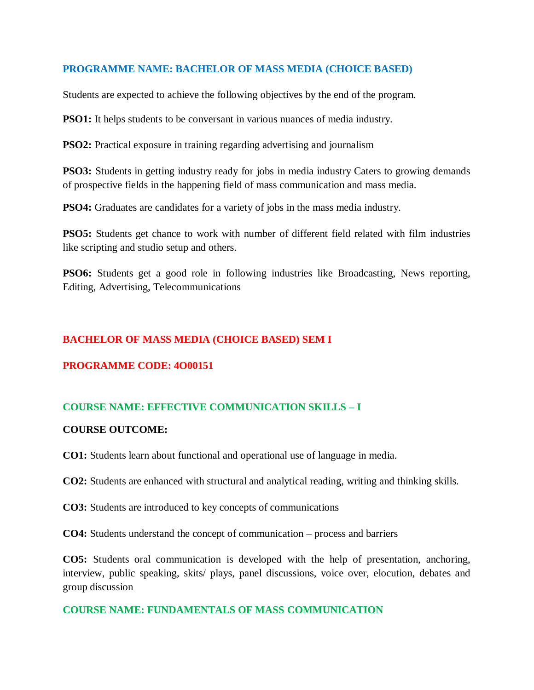### **PROGRAMME NAME: BACHELOR OF MASS MEDIA (CHOICE BASED)**

Students are expected to achieve the following objectives by the end of the program.

**PSO1:** It helps students to be conversant in various nuances of media industry.

**PSO2:** Practical exposure in training regarding advertising and journalism

**PSO3:** Students in getting industry ready for jobs in media industry Caters to growing demands of prospective fields in the happening field of mass communication and mass media.

**PSO4:** Graduates are candidates for a variety of jobs in the mass media industry.

**PSO5:** Students get chance to work with number of different field related with film industries like scripting and studio setup and others.

**PSO6:** Students get a good role in following industries like Broadcasting, News reporting, Editing, Advertising, Telecommunications

### **BACHELOR OF MASS MEDIA (CHOICE BASED) SEM I**

### **PROGRAMME CODE: 4O00151**

### **COURSE NAME: EFFECTIVE COMMUNICATION SKILLS – I**

#### **COURSE OUTCOME:**

**CO1:** Students learn about functional and operational use of language in media.

**CO2:** Students are enhanced with structural and analytical reading, writing and thinking skills.

**CO3:** Students are introduced to key concepts of communications

**CO4:** Students understand the concept of communication – process and barriers

**CO5:** Students oral communication is developed with the help of presentation, anchoring, interview, public speaking, skits/ plays, panel discussions, voice over, elocution, debates and group discussion

#### **COURSE NAME: FUNDAMENTALS OF MASS COMMUNICATION**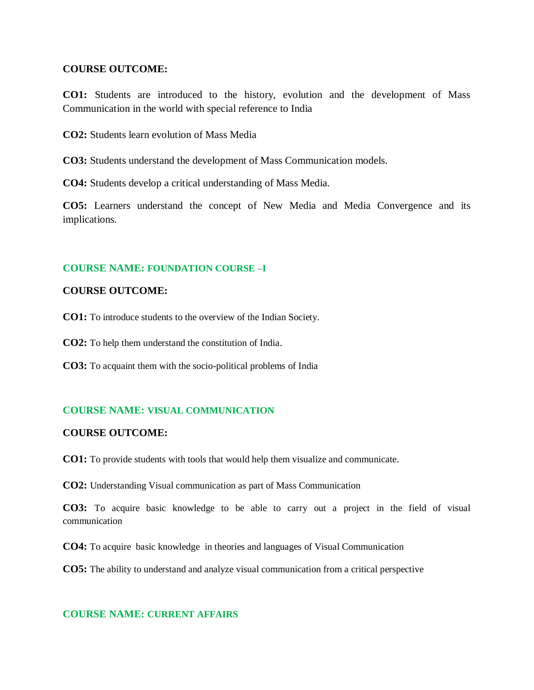#### **COURSE OUTCOME:**

**CO1:** Students are introduced to the history, evolution and the development of Mass Communication in the world with special reference to India

**CO2:** Students learn evolution of Mass Media

**CO3:** Students understand the development of Mass Communication models.

**CO4:** Students develop a critical understanding of Mass Media.

**CO5:** Learners understand the concept of New Media and Media Convergence and its implications.

### **COURSE NAME: FOUNDATION COURSE –I**

#### **COURSE OUTCOME:**

**CO1:** To introduce students to the overview of the Indian Society.

**CO2:** To help them understand the constitution of India.

**CO3:** To acquaint them with the socio-political problems of India

### **COURSE NAME: VISUAL COMMUNICATION**

#### **COURSE OUTCOME:**

**CO1:** To provide students with tools that would help them visualize and communicate.

**CO2:** Understanding Visual communication as part of Mass Communication

**CO3:** To acquire basic knowledge to be able to carry out a project in the field of visual communication

**CO4:** To acquire basic knowledge in theories and languages of Visual Communication

**CO5:** The ability to understand and analyze visual communication from a critical perspective

#### **COURSE NAME: CURRENT AFFAIRS**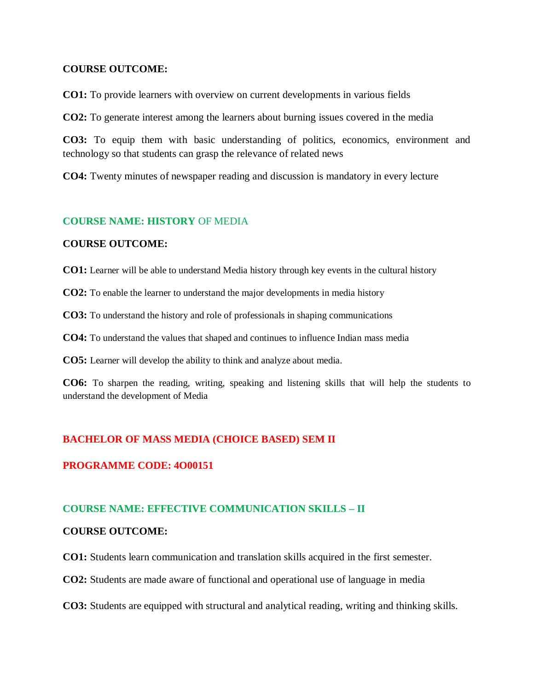#### **COURSE OUTCOME:**

**CO1:** To provide learners with overview on current developments in various fields

**CO2:** To generate interest among the learners about burning issues covered in the media

**CO3:** To equip them with basic understanding of politics, economics, environment and technology so that students can grasp the relevance of related news

**CO4:** Twenty minutes of newspaper reading and discussion is mandatory in every lecture

### **COURSE NAME: HISTORY** OF MEDIA

### **COURSE OUTCOME:**

**CO1:** Learner will be able to understand Media history through key events in the cultural history

**CO2:** To enable the learner to understand the major developments in media history

**CO3:** To understand the history and role of professionals in shaping communications

**CO4:** To understand the values that shaped and continues to influence Indian mass media

**CO5:** Learner will develop the ability to think and analyze about media.

**CO6:** To sharpen the reading, writing, speaking and listening skills that will help the students to understand the development of Media

### **BACHELOR OF MASS MEDIA (CHOICE BASED) SEM II**

### **PROGRAMME CODE: 4O00151**

### **COURSE NAME: EFFECTIVE COMMUNICATION SKILLS – II**

#### **COURSE OUTCOME:**

**CO1:** Students learn communication and translation skills acquired in the first semester.

**CO2:** Students are made aware of functional and operational use of language in media

**CO3:** Students are equipped with structural and analytical reading, writing and thinking skills.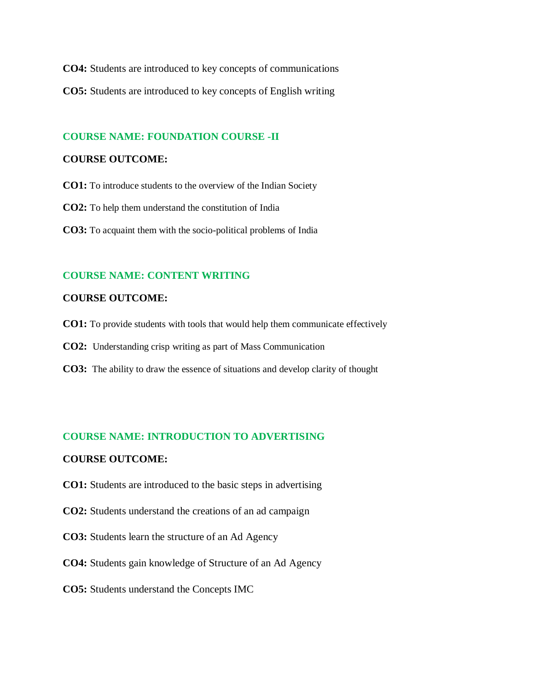**CO4:** Students are introduced to key concepts of communications **CO5:** Students are introduced to key concepts of English writing

### **COURSE NAME: FOUNDATION COURSE -II**

#### **COURSE OUTCOME:**

**CO1:** To introduce students to the overview of the Indian Society

**CO2:** To help them understand the constitution of India

**CO3:** To acquaint them with the socio-political problems of India

### **COURSE NAME: CONTENT WRITING**

### **COURSE OUTCOME:**

- **CO1:** To provide students with tools that would help them communicate effectively
- **CO2:** Understanding crisp writing as part of Mass Communication
- **CO3:** The ability to draw the essence of situations and develop clarity of thought

### **COURSE NAME: INTRODUCTION TO ADVERTISING**

- **CO1:** Students are introduced to the basic steps in advertising
- **CO2:** Students understand the creations of an ad campaign
- **CO3:** Students learn the structure of an Ad Agency
- **CO4:** Students gain knowledge of Structure of an Ad Agency
- **CO5:** Students understand the Concepts IMC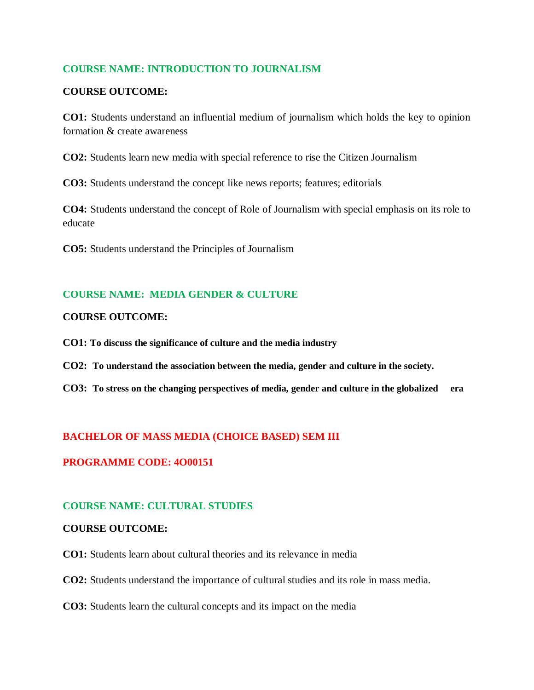### **COURSE NAME: INTRODUCTION TO JOURNALISM**

### **COURSE OUTCOME:**

**CO1:** Students understand an influential medium of journalism which holds the key to opinion formation & create awareness

**CO2:** Students learn new media with special reference to rise the Citizen Journalism

**CO3:** Students understand the concept like news reports; features; editorials

**CO4:** Students understand the concept of Role of Journalism with special emphasis on its role to educate

**CO5:** Students understand the Principles of Journalism

### **COURSE NAME: MEDIA GENDER & CULTURE**

### **COURSE OUTCOME:**

**CO1: To discuss the significance of culture and the media industry**

- **CO2: To understand the association between the media, gender and culture in the society.**
- **CO3: To stress on the changing perspectives of media, gender and culture in the globalized era**

### **BACHELOR OF MASS MEDIA (CHOICE BASED) SEM III**

### **PROGRAMME CODE: 4O00151**

### **COURSE NAME: CULTURAL STUDIES**

### **COURSE OUTCOME:**

**CO1:** Students learn about cultural theories and its relevance in media

**CO2:** Students understand the importance of cultural studies and its role in mass media.

**CO3:** Students learn the cultural concepts and its impact on the media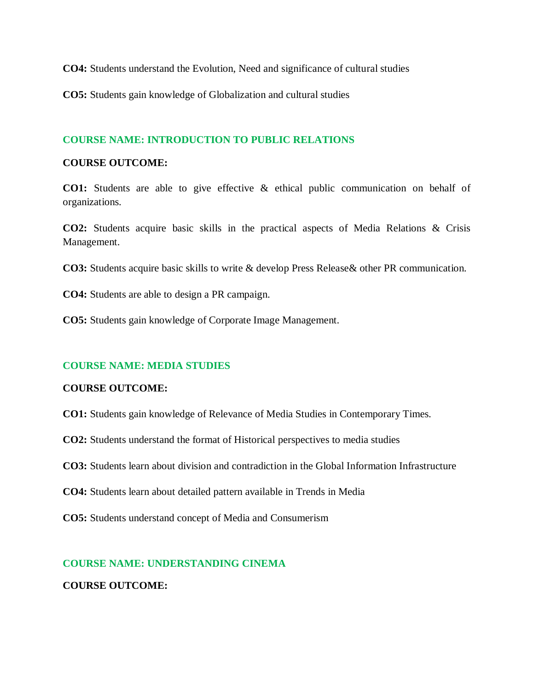**CO4:** Students understand the Evolution, Need and significance of cultural studies

**CO5:** Students gain knowledge of Globalization and cultural studies

### **COURSE NAME: INTRODUCTION TO PUBLIC RELATIONS**

### **COURSE OUTCOME:**

**CO1:** Students are able to give effective & ethical public communication on behalf of organizations.

**CO2:** Students acquire basic skills in the practical aspects of Media Relations & Crisis Management.

**CO3:** Students acquire basic skills to write & develop Press Release& other PR communication.

**CO4:** Students are able to design a PR campaign.

**CO5:** Students gain knowledge of Corporate Image Management.

### **COURSE NAME: MEDIA STUDIES**

### **COURSE OUTCOME:**

**CO1:** Students gain knowledge of Relevance of Media Studies in Contemporary Times.

**CO2:** Students understand the format of Historical perspectives to media studies

**CO3:** Students learn about division and contradiction in the Global Information Infrastructure

**CO4:** Students learn about detailed pattern available in Trends in Media

**CO5:** Students understand concept of Media and Consumerism

### **COURSE NAME: UNDERSTANDING CINEMA**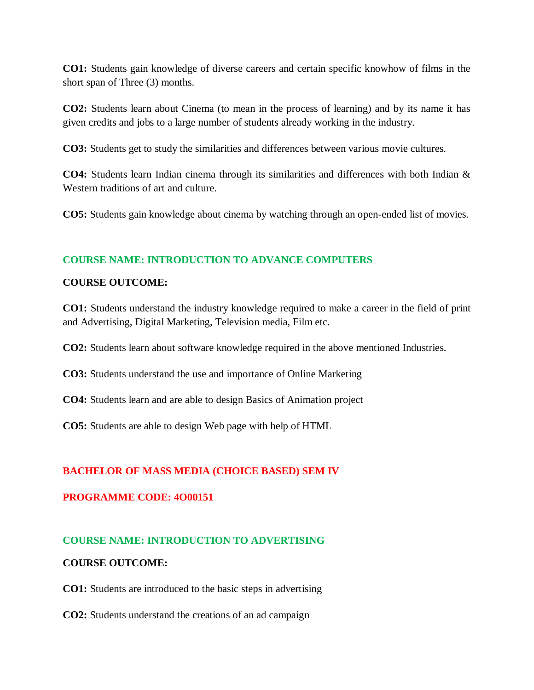**CO1:** Students gain knowledge of diverse careers and certain specific knowhow of films in the short span of Three (3) months.

**CO2:** Students learn about Cinema (to mean in the process of learning) and by its name it has given credits and jobs to a large number of students already working in the industry.

**CO3:** Students get to study the similarities and differences between various movie cultures.

**CO4:** Students learn Indian cinema through its similarities and differences with both Indian & Western traditions of art and culture.

**CO5:** Students gain knowledge about cinema by watching through an open-ended list of movies.

### **COURSE NAME: INTRODUCTION TO ADVANCE COMPUTERS**

### **COURSE OUTCOME:**

**CO1:** Students understand the industry knowledge required to make a career in the field of print and Advertising, Digital Marketing, Television media, Film etc.

**CO2:** Students learn about software knowledge required in the above mentioned Industries.

**CO3:** Students understand the use and importance of Online Marketing

**CO4:** Students learn and are able to design Basics of Animation project

**CO5:** Students are able to design Web page with help of HTML

### **BACHELOR OF MASS MEDIA (CHOICE BASED) SEM IV**

### **PROGRAMME CODE: 4O00151**

### **COURSE NAME: INTRODUCTION TO ADVERTISING**

### **COURSE OUTCOME:**

**CO1:** Students are introduced to the basic steps in advertising

**CO2:** Students understand the creations of an ad campaign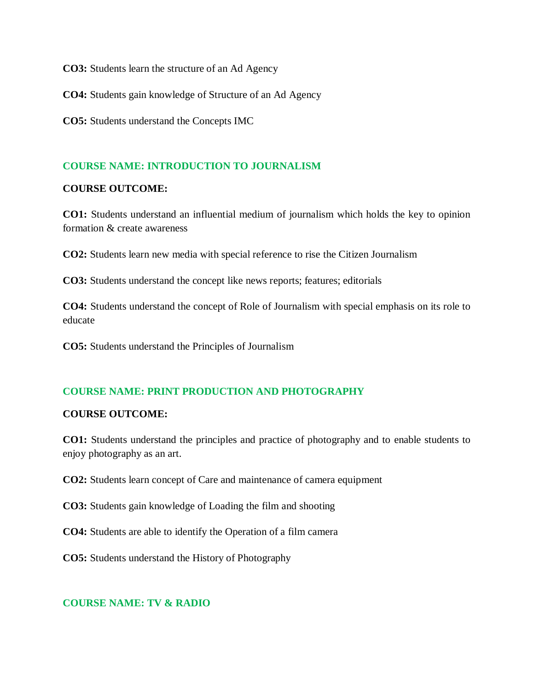**CO3:** Students learn the structure of an Ad Agency

**CO4:** Students gain knowledge of Structure of an Ad Agency

**CO5:** Students understand the Concepts IMC

### **COURSE NAME: INTRODUCTION TO JOURNALISM**

#### **COURSE OUTCOME:**

**CO1:** Students understand an influential medium of journalism which holds the key to opinion formation & create awareness

**CO2:** Students learn new media with special reference to rise the Citizen Journalism

**CO3:** Students understand the concept like news reports; features; editorials

**CO4:** Students understand the concept of Role of Journalism with special emphasis on its role to educate

**CO5:** Students understand the Principles of Journalism

### **COURSE NAME: PRINT PRODUCTION AND PHOTOGRAPHY**

### **COURSE OUTCOME:**

**CO1:** Students understand the principles and practice of photography and to enable students to enjoy photography as an art.

**CO2:** Students learn concept of Care and maintenance of camera equipment

**CO3:** Students gain knowledge of Loading the film and shooting

**CO4:** Students are able to identify the Operation of a film camera

**CO5:** Students understand the History of Photography

### **COURSE NAME: TV & RADIO**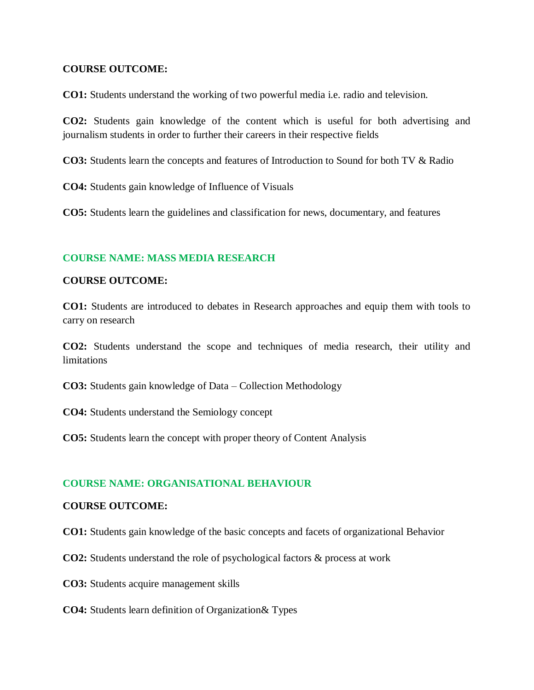### **COURSE OUTCOME:**

**CO1:** Students understand the working of two powerful media i.e. radio and television.

**CO2:** Students gain knowledge of the content which is useful for both advertising and journalism students in order to further their careers in their respective fields

**CO3:** Students learn the concepts and features of Introduction to Sound for both TV & Radio

**CO4:** Students gain knowledge of Influence of Visuals

**CO5:** Students learn the guidelines and classification for news, documentary, and features

### **COURSE NAME: MASS MEDIA RESEARCH**

### **COURSE OUTCOME:**

**CO1:** Students are introduced to debates in Research approaches and equip them with tools to carry on research

**CO2:** Students understand the scope and techniques of media research, their utility and limitations

**CO3:** Students gain knowledge of Data – Collection Methodology

**CO4:** Students understand the Semiology concept

**CO5:** Students learn the concept with proper theory of Content Analysis

### **COURSE NAME: ORGANISATIONAL BEHAVIOUR**

### **COURSE OUTCOME:**

**CO1:** Students gain knowledge of the basic concepts and facets of organizational Behavior

**CO2:** Students understand the role of psychological factors & process at work

- **CO3:** Students acquire management skills
- **CO4:** Students learn definition of Organization& Types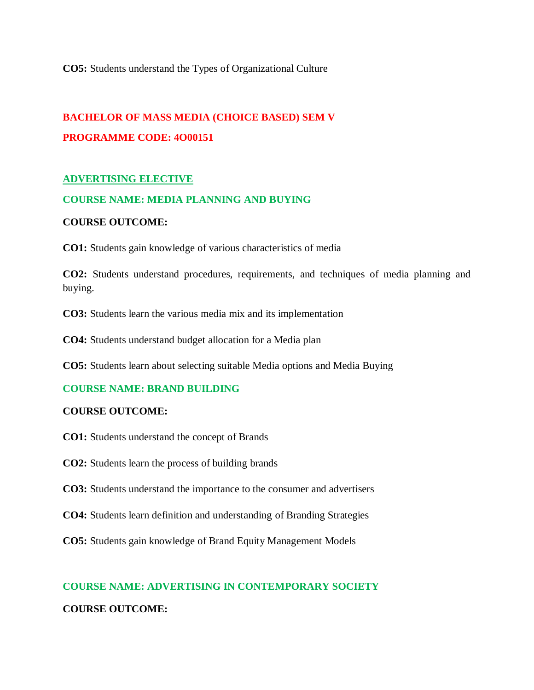**CO5:** Students understand the Types of Organizational Culture

# **BACHELOR OF MASS MEDIA (CHOICE BASED) SEM V PROGRAMME CODE: 4O00151**

### **ADVERTISING ELECTIVE**

### **COURSE NAME: MEDIA PLANNING AND BUYING**

### **COURSE OUTCOME:**

**CO1:** Students gain knowledge of various characteristics of media

**CO2:** Students understand procedures, requirements, and techniques of media planning and buying.

**CO3:** Students learn the various media mix and its implementation

**CO4:** Students understand budget allocation for a Media plan

**CO5:** Students learn about selecting suitable Media options and Media Buying

### **COURSE NAME: BRAND BUILDING**

### **COURSE OUTCOME:**

- **CO1:** Students understand the concept of Brands
- **CO2:** Students learn the process of building brands
- **CO3:** Students understand the importance to the consumer and advertisers
- **CO4:** Students learn definition and understanding of Branding Strategies
- **CO5:** Students gain knowledge of Brand Equity Management Models

# **COURSE NAME: ADVERTISING IN CONTEMPORARY SOCIETY**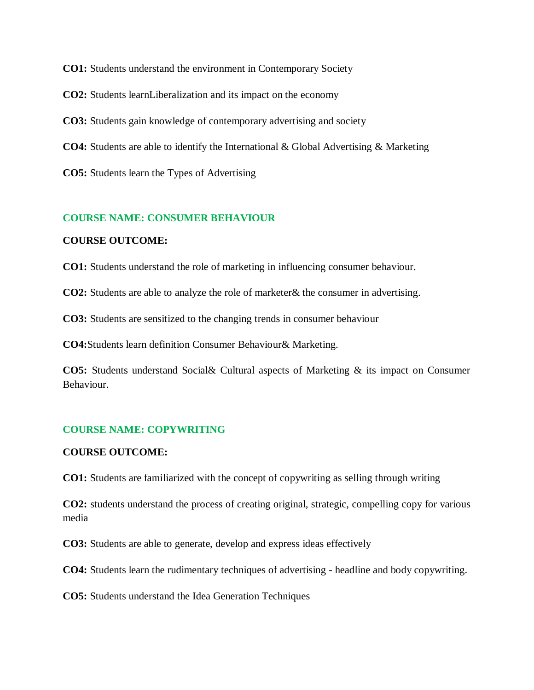**CO1:** Students understand the environment in Contemporary Society

**CO2:** Students learnLiberalization and its impact on the economy

**CO3:** Students gain knowledge of contemporary advertising and society

**CO4:** Students are able to identify the International & Global Advertising & Marketing

**CO5:** Students learn the Types of Advertising

### **COURSE NAME: CONSUMER BEHAVIOUR**

#### **COURSE OUTCOME:**

**CO1:** Students understand the role of marketing in influencing consumer behaviour.

**CO2:** Students are able to analyze the role of marketer& the consumer in advertising.

**CO3:** Students are sensitized to the changing trends in consumer behaviour

**CO4:**Students learn definition Consumer Behaviour& Marketing.

**CO5:** Students understand Social& Cultural aspects of Marketing & its impact on Consumer Behaviour.

### **COURSE NAME: COPYWRITING**

#### **COURSE OUTCOME:**

**CO1:** Students are familiarized with the concept of copywriting as selling through writing

**CO2:** students understand the process of creating original, strategic, compelling copy for various media

**CO3:** Students are able to generate, develop and express ideas effectively

**CO4:** Students learn the rudimentary techniques of advertising - headline and body copywriting.

**CO5:** Students understand the Idea Generation Techniques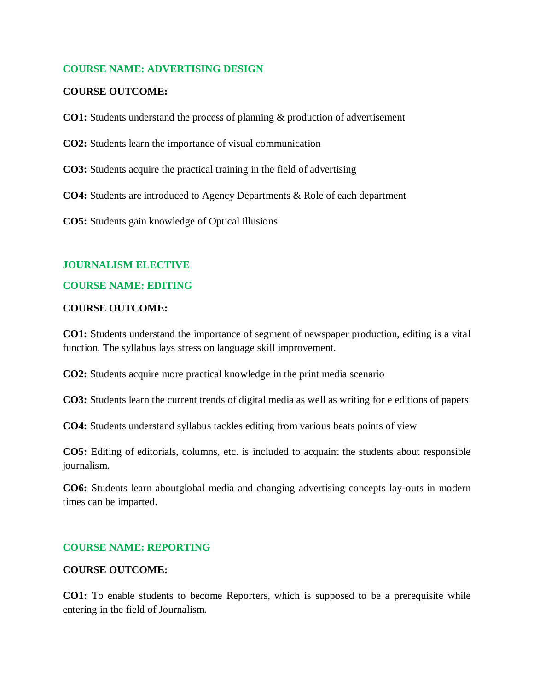### **COURSE NAME: ADVERTISING DESIGN**

### **COURSE OUTCOME:**

- **CO1:** Students understand the process of planning & production of advertisement
- **CO2:** Students learn the importance of visual communication
- **CO3:** Students acquire the practical training in the field of advertising
- **CO4:** Students are introduced to Agency Departments & Role of each department

**CO5:** Students gain knowledge of Optical illusions

#### **JOURNALISM ELECTIVE**

#### **COURSE NAME: EDITING**

#### **COURSE OUTCOME:**

**CO1:** Students understand the importance of segment of newspaper production, editing is a vital function. The syllabus lays stress on language skill improvement.

**CO2:** Students acquire more practical knowledge in the print media scenario

**CO3:** Students learn the current trends of digital media as well as writing for e editions of papers

**CO4:** Students understand syllabus tackles editing from various beats points of view

**CO5:** Editing of editorials, columns, etc. is included to acquaint the students about responsible journalism.

**CO6:** Students learn aboutglobal media and changing advertising concepts lay-outs in modern times can be imparted.

### **COURSE NAME: REPORTING**

#### **COURSE OUTCOME:**

**CO1:** To enable students to become Reporters, which is supposed to be a prerequisite while entering in the field of Journalism.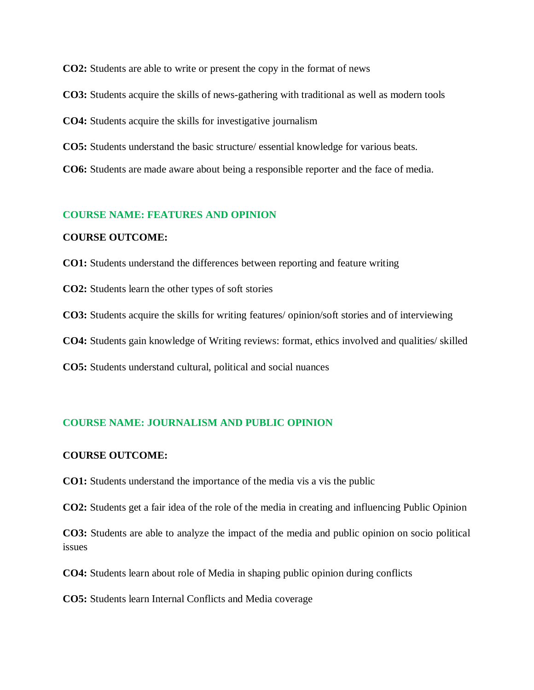**CO2:** Students are able to write or present the copy in the format of news

**CO3:** Students acquire the skills of news-gathering with traditional as well as modern tools

**CO4:** Students acquire the skills for investigative journalism

**CO5:** Students understand the basic structure/ essential knowledge for various beats.

**CO6:** Students are made aware about being a responsible reporter and the face of media.

#### **COURSE NAME: FEATURES AND OPINION**

#### **COURSE OUTCOME:**

**CO1:** Students understand the differences between reporting and feature writing

**CO2:** Students learn the other types of soft stories

**CO3:** Students acquire the skills for writing features/ opinion/soft stories and of interviewing

**CO4:** Students gain knowledge of Writing reviews: format, ethics involved and qualities/ skilled

**CO5:** Students understand cultural, political and social nuances

### **COURSE NAME: JOURNALISM AND PUBLIC OPINION**

#### **COURSE OUTCOME:**

**CO1:** Students understand the importance of the media vis a vis the public

**CO2:** Students get a fair idea of the role of the media in creating and influencing Public Opinion

**CO3:** Students are able to analyze the impact of the media and public opinion on socio political issues

**CO4:** Students learn about role of Media in shaping public opinion during conflicts

**CO5:** Students learn Internal Conflicts and Media coverage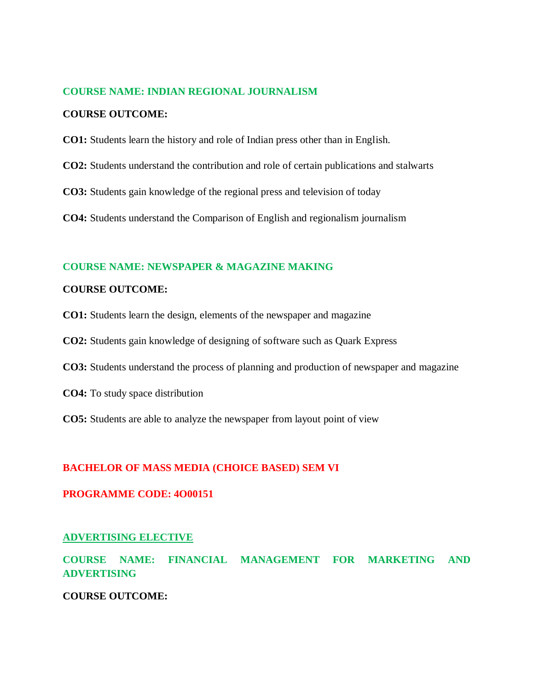#### **COURSE NAME: INDIAN REGIONAL JOURNALISM**

#### **COURSE OUTCOME:**

- **CO1:** Students learn the history and role of Indian press other than in English.
- **CO2:** Students understand the contribution and role of certain publications and stalwarts
- **CO3:** Students gain knowledge of the regional press and television of today

**CO4:** Students understand the Comparison of English and regionalism journalism

### **COURSE NAME: NEWSPAPER & MAGAZINE MAKING**

### **COURSE OUTCOME:**

- **CO1:** Students learn the design, elements of the newspaper and magazine
- **CO2:** Students gain knowledge of designing of software such as Quark Express
- **CO3:** Students understand the process of planning and production of newspaper and magazine
- **CO4:** To study space distribution
- **CO5:** Students are able to analyze the newspaper from layout point of view

#### **BACHELOR OF MASS MEDIA (CHOICE BASED) SEM VI**

### **PROGRAMME CODE: 4O00151**

#### **ADVERTISING ELECTIVE**

**COURSE NAME: FINANCIAL MANAGEMENT FOR MARKETING AND ADVERTISING**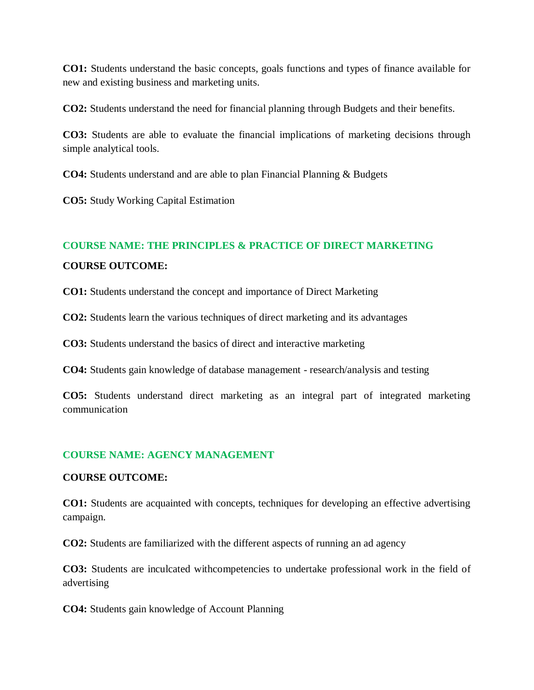**CO1:** Students understand the basic concepts, goals functions and types of finance available for new and existing business and marketing units.

**CO2:** Students understand the need for financial planning through Budgets and their benefits.

**CO3:** Students are able to evaluate the financial implications of marketing decisions through simple analytical tools.

**CO4:** Students understand and are able to plan Financial Planning & Budgets

**CO5:** Study Working Capital Estimation

## **COURSE NAME: THE PRINCIPLES & PRACTICE OF DIRECT MARKETING COURSE OUTCOME:**

**CO1:** Students understand the concept and importance of Direct Marketing

**CO2:** Students learn the various techniques of direct marketing and its advantages

**CO3:** Students understand the basics of direct and interactive marketing

**CO4:** Students gain knowledge of database management - research/analysis and testing

**CO5:** Students understand direct marketing as an integral part of integrated marketing communication

### **COURSE NAME: AGENCY MANAGEMENT**

### **COURSE OUTCOME:**

**CO1:** Students are acquainted with concepts, techniques for developing an effective advertising campaign.

**CO2:** Students are familiarized with the different aspects of running an ad agency

**CO3:** Students are inculcated withcompetencies to undertake professional work in the field of advertising

**CO4:** Students gain knowledge of Account Planning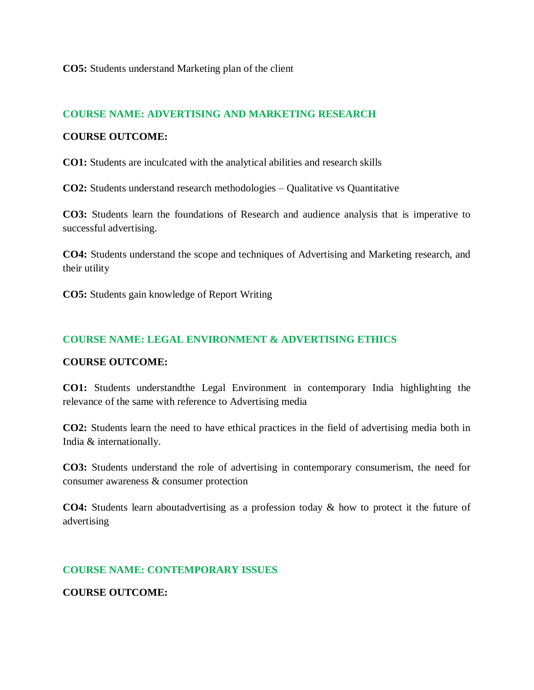**CO5:** Students understand Marketing plan of the client

### **COURSE NAME: ADVERTISING AND MARKETING RESEARCH**

### **COURSE OUTCOME:**

**CO1:** Students are inculcated with the analytical abilities and research skills

**CO2:** Students understand research methodologies – Qualitative vs Quantitative

**CO3:** Students learn the foundations of Research and audience analysis that is imperative to successful advertising.

**CO4:** Students understand the scope and techniques of Advertising and Marketing research, and their utility

**CO5:** Students gain knowledge of Report Writing

### **COURSE NAME: LEGAL ENVIRONMENT & ADVERTISING ETHICS**

### **COURSE OUTCOME:**

**CO1:** Students understandthe Legal Environment in contemporary India highlighting the relevance of the same with reference to Advertising media

**CO2:** Students learn the need to have ethical practices in the field of advertising media both in India & internationally.

**CO3:** Students understand the role of advertising in contemporary consumerism, the need for consumer awareness & consumer protection

**CO4:** Students learn aboutadvertising as a profession today & how to protect it the future of advertising

### **COURSE NAME: CONTEMPORARY ISSUES**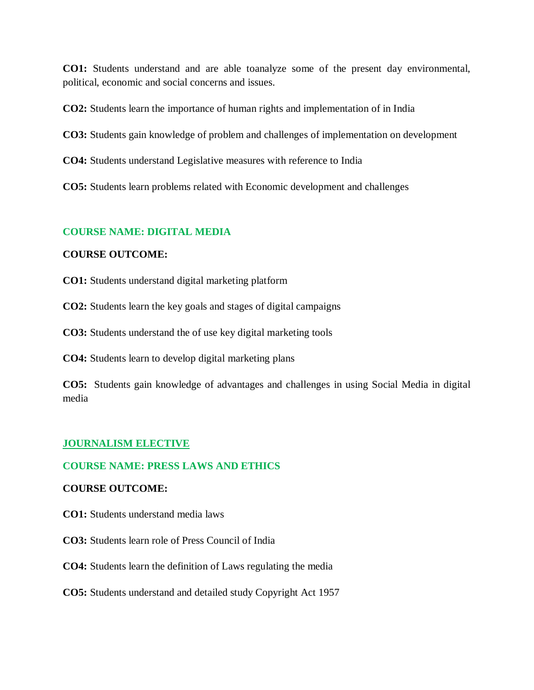**CO1:** Students understand and are able toanalyze some of the present day environmental, political, economic and social concerns and issues.

**CO2:** Students learn the importance of human rights and implementation of in India

**CO3:** Students gain knowledge of problem and challenges of implementation on development

**CO4:** Students understand Legislative measures with reference to India

**CO5:** Students learn problems related with Economic development and challenges

### **COURSE NAME: DIGITAL MEDIA**

### **COURSE OUTCOME:**

**CO1:** Students understand digital marketing platform

**CO2:** Students learn the key goals and stages of digital campaigns

**CO3:** Students understand the of use key digital marketing tools

**CO4:** Students learn to develop digital marketing plans

**CO5:** Students gain knowledge of advantages and challenges in using Social Media in digital media

### **JOURNALISM ELECTIVE**

### **COURSE NAME: PRESS LAWS AND ETHICS**

### **COURSE OUTCOME:**

- **CO1:** Students understand media laws
- **CO3:** Students learn role of Press Council of India
- **CO4:** Students learn the definition of Laws regulating the media

### **CO5:** Students understand and detailed study Copyright Act 1957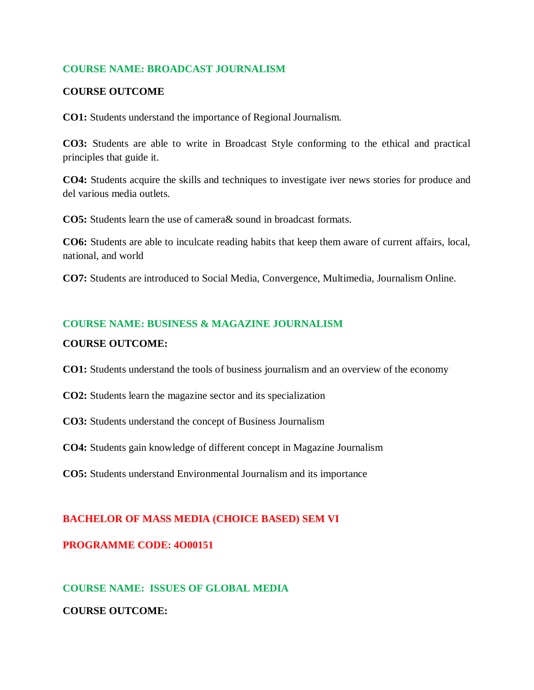### **COURSE NAME: BROADCAST JOURNALISM**

### **COURSE OUTCOME**

**CO1:** Students understand the importance of Regional Journalism.

**CO3:** Students are able to write in Broadcast Style conforming to the ethical and practical principles that guide it.

**CO4:** Students acquire the skills and techniques to investigate iver news stories for produce and del various media outlets.

**CO5:** Students learn the use of camera& sound in broadcast formats.

**CO6:** Students are able to inculcate reading habits that keep them aware of current affairs, local, national, and world

**CO7:** Students are introduced to Social Media, Convergence, Multimedia, Journalism Online.

### **COURSE NAME: BUSINESS & MAGAZINE JOURNALISM**

### **COURSE OUTCOME:**

**CO1:** Students understand the tools of business journalism and an overview of the economy

- **CO2:** Students learn the magazine sector and its specialization
- **CO3:** Students understand the concept of Business Journalism

**CO4:** Students gain knowledge of different concept in Magazine Journalism

**CO5:** Students understand Environmental Journalism and its importance

### **BACHELOR OF MASS MEDIA (CHOICE BASED) SEM VI**

### **PROGRAMME CODE: 4O00151**

# **COURSE NAME: ISSUES OF GLOBAL MEDIA COURSE OUTCOME:**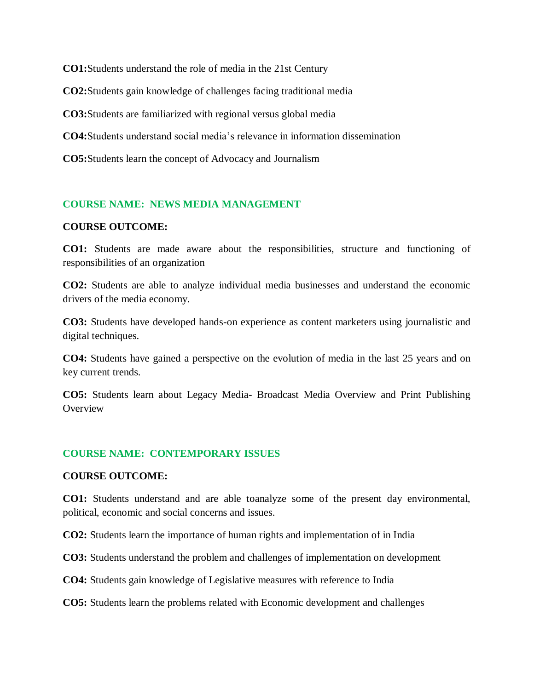**CO1:**Students understand the role of media in the 21st Century **CO2:**Students gain knowledge of challenges facing traditional media **CO3:**Students are familiarized with regional versus global media **CO4:**Students understand social media's relevance in information dissemination **CO5:**Students learn the concept of Advocacy and Journalism

### **COURSE NAME: NEWS MEDIA MANAGEMENT**

### **COURSE OUTCOME:**

**CO1:** Students are made aware about the responsibilities, structure and functioning of responsibilities of an organization

**CO2:** Students are able to analyze individual media businesses and understand the economic drivers of the media economy.

**CO3:** Students have developed hands-on experience as content marketers using journalistic and digital techniques.

**CO4:** Students have gained a perspective on the evolution of media in the last 25 years and on key current trends.

**CO5:** Students learn about Legacy Media- Broadcast Media Overview and Print Publishing **Overview** 

### **COURSE NAME: CONTEMPORARY ISSUES**

#### **COURSE OUTCOME:**

**CO1:** Students understand and are able toanalyze some of the present day environmental, political, economic and social concerns and issues.

**CO2:** Students learn the importance of human rights and implementation of in India

**CO3:** Students understand the problem and challenges of implementation on development

**CO4:** Students gain knowledge of Legislative measures with reference to India

**CO5:** Students learn the problems related with Economic development and challenges